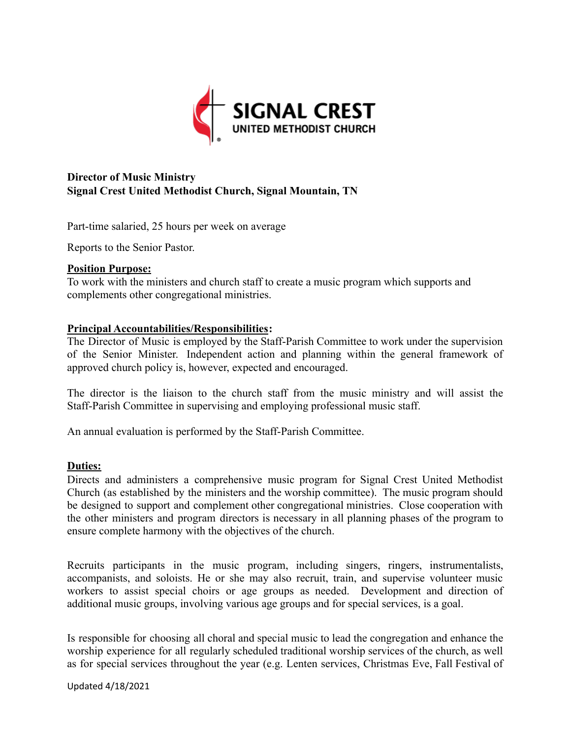

# **Director of Music Ministry Signal Crest United Methodist Church, Signal Mountain, TN**

Part-time salaried, 25 hours per week on average

Reports to the Senior Pastor.

### **Position Purpose:**

To work with the ministers and church staff to create a music program which supports and complements other congregational ministries.

## **Principal Accountabilities/Responsibilities:**

The Director of Music is employed by the Staff-Parish Committee to work under the supervision of the Senior Minister. Independent action and planning within the general framework of approved church policy is, however, expected and encouraged.

The director is the liaison to the church staff from the music ministry and will assist the Staff-Parish Committee in supervising and employing professional music staff.

An annual evaluation is performed by the Staff-Parish Committee.

## **Duties:**

Directs and administers a comprehensive music program for Signal Crest United Methodist Church (as established by the ministers and the worship committee). The music program should be designed to support and complement other congregational ministries. Close cooperation with the other ministers and program directors is necessary in all planning phases of the program to ensure complete harmony with the objectives of the church.

Recruits participants in the music program, including singers, ringers, instrumentalists, accompanists, and soloists. He or she may also recruit, train, and supervise volunteer music workers to assist special choirs or age groups as needed. Development and direction of additional music groups, involving various age groups and for special services, is a goal.

Is responsible for choosing all choral and special music to lead the congregation and enhance the worship experience for all regularly scheduled traditional worship services of the church, as well as for special services throughout the year (e.g. Lenten services, Christmas Eve, Fall Festival of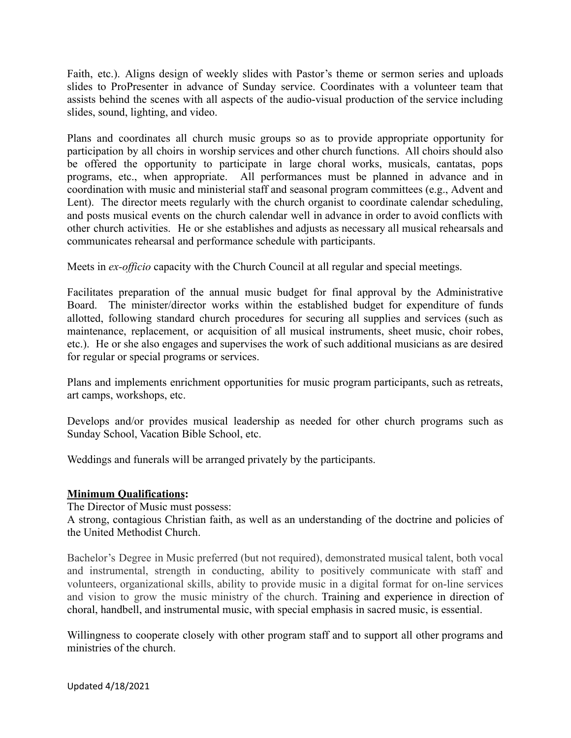Faith, etc.). Aligns design of weekly slides with Pastor's theme or sermon series and uploads slides to ProPresenter in advance of Sunday service. Coordinates with a volunteer team that assists behind the scenes with all aspects of the audio-visual production of the service including slides, sound, lighting, and video.

Plans and coordinates all church music groups so as to provide appropriate opportunity for participation by all choirs in worship services and other church functions. All choirs should also be offered the opportunity to participate in large choral works, musicals, cantatas, pops programs, etc., when appropriate. All performances must be planned in advance and in coordination with music and ministerial staff and seasonal program committees (e.g., Advent and Lent). The director meets regularly with the church organist to coordinate calendar scheduling, and posts musical events on the church calendar well in advance in order to avoid conflicts with other church activities. He or she establishes and adjusts as necessary all musical rehearsals and communicates rehearsal and performance schedule with participants.

Meets in *ex-officio* capacity with the Church Council at all regular and special meetings.

Facilitates preparation of the annual music budget for final approval by the Administrative Board. The minister/director works within the established budget for expenditure of funds allotted, following standard church procedures for securing all supplies and services (such as maintenance, replacement, or acquisition of all musical instruments, sheet music, choir robes, etc.). He or she also engages and supervises the work of such additional musicians as are desired for regular or special programs or services.

Plans and implements enrichment opportunities for music program participants, such as retreats, art camps, workshops, etc.

Develops and/or provides musical leadership as needed for other church programs such as Sunday School, Vacation Bible School, etc.

Weddings and funerals will be arranged privately by the participants.

## **Minimum Qualifications:**

The Director of Music must possess:

A strong, contagious Christian faith, as well as an understanding of the doctrine and policies of the United Methodist Church.

Bachelor's Degree in Music preferred (but not required), demonstrated musical talent, both vocal and instrumental, strength in conducting, ability to positively communicate with staff and volunteers, organizational skills, ability to provide music in a digital format for on-line services and vision to grow the music ministry of the church. Training and experience in direction of choral, handbell, and instrumental music, with special emphasis in sacred music, is essential.

Willingness to cooperate closely with other program staff and to support all other programs and ministries of the church.